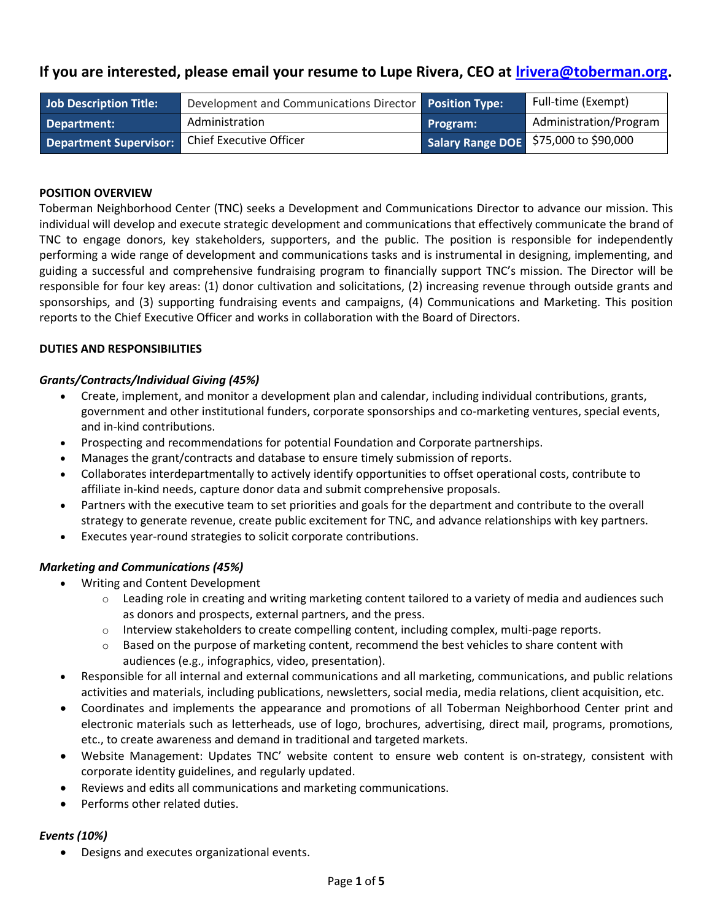# **If you are interested, please email your resume to Lupe Rivera, CEO at [lrivera@toberman.org.](mailto:lrivera@toberman.org)**

| Job Description Title:        | Development and Communications Director Position Type: |                 | Full-time (Exempt)                    |
|-------------------------------|--------------------------------------------------------|-----------------|---------------------------------------|
| Department:                   | Administration                                         | <b>Program:</b> | Administration/Program                |
| <b>Department Supervisor:</b> | Chief Executive Officer                                |                 | Salary Range DOE \$75,000 to \$90,000 |

## **POSITION OVERVIEW**

Toberman Neighborhood Center (TNC) seeks a Development and Communications Director to advance our mission. This individual will develop and execute strategic development and communications that effectively communicate the brand of TNC to engage donors, key stakeholders, supporters, and the public. The position is responsible for independently performing a wide range of development and communications tasks and is instrumental in designing, implementing, and guiding a successful and comprehensive fundraising program to financially support TNC's mission. The Director will be responsible for four key areas: (1) donor cultivation and solicitations, (2) increasing revenue through outside grants and sponsorships, and (3) supporting fundraising events and campaigns, (4) Communications and Marketing. This position reports to the Chief Executive Officer and works in collaboration with the Board of Directors.

### **DUTIES AND RESPONSIBILITIES**

### *Grants/Contracts/Individual Giving (45%)*

- Create, implement, and monitor a development plan and calendar, including individual contributions, grants, government and other institutional funders, corporate sponsorships and co-marketing ventures, special events, and in-kind contributions.
- Prospecting and recommendations for potential Foundation and Corporate partnerships.
- Manages the grant/contracts and database to ensure timely submission of reports.
- Collaborates interdepartmentally to actively identify opportunities to offset operational costs, contribute to affiliate in-kind needs, capture donor data and submit comprehensive proposals.
- Partners with the executive team to set priorities and goals for the department and contribute to the overall strategy to generate revenue, create public excitement for TNC, and advance relationships with key partners.
- Executes year-round strategies to solicit corporate contributions.

#### *Marketing and Communications (45%)*

- Writing and Content Development
	- $\circ$  Leading role in creating and writing marketing content tailored to a variety of media and audiences such as donors and prospects, external partners, and the press.
	- $\circ$  Interview stakeholders to create compelling content, including complex, multi-page reports.
	- $\circ$  Based on the purpose of marketing content, recommend the best vehicles to share content with audiences (e.g., infographics, video, presentation).
- Responsible for all internal and external communications and all marketing, communications, and public relations activities and materials, including publications, newsletters, social media, media relations, client acquisition, etc.
- Coordinates and implements the appearance and promotions of all Toberman Neighborhood Center print and electronic materials such as letterheads, use of logo, brochures, advertising, direct mail, programs, promotions, etc., to create awareness and demand in traditional and targeted markets.
- Website Management: Updates TNC' website content to ensure web content is on-strategy, consistent with corporate identity guidelines, and regularly updated.
- Reviews and edits all communications and marketing communications.
- Performs other related duties.

#### *Events (10%)*

• Designs and executes organizational events.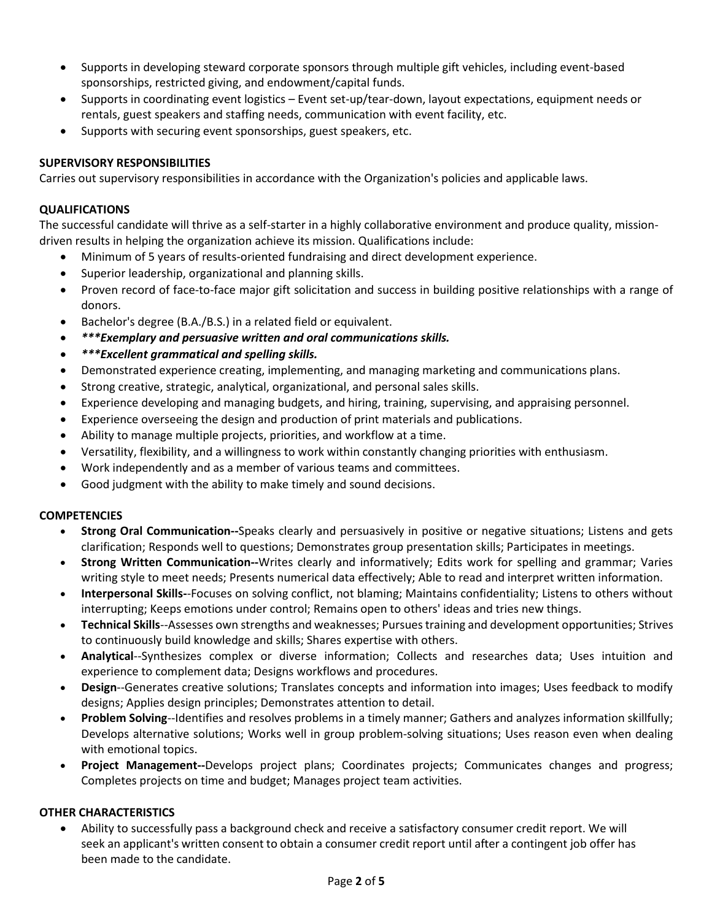- Supports in developing steward corporate sponsors through multiple gift vehicles, including event-based sponsorships, restricted giving, and endowment/capital funds.
- Supports in coordinating event logistics Event set-up/tear-down, layout expectations, equipment needs or rentals, guest speakers and staffing needs, communication with event facility, etc.
- Supports with securing event sponsorships, guest speakers, etc.

# **SUPERVISORY RESPONSIBILITIES**

Carries out supervisory responsibilities in accordance with the Organization's policies and applicable laws.

## **QUALIFICATIONS**

The successful candidate will thrive as a self-starter in a highly collaborative environment and produce quality, missiondriven results in helping the organization achieve its mission. Qualifications include:

- Minimum of 5 years of results-oriented fundraising and direct development experience.
- Superior leadership, organizational and planning skills.
- Proven record of face-to-face major gift solicitation and success in building positive relationships with a range of donors.
- Bachelor's degree (B.A./B.S.) in a related field or equivalent.
- *\*\*\*Exemplary and persuasive written and oral communications skills.*
- *\*\*\*Excellent grammatical and spelling skills.*
- Demonstrated experience creating, implementing, and managing marketing and communications plans.
- Strong creative, strategic, analytical, organizational, and personal sales skills.
- Experience developing and managing budgets, and hiring, training, supervising, and appraising personnel.
- Experience overseeing the design and production of print materials and publications.
- Ability to manage multiple projects, priorities, and workflow at a time.
- Versatility, flexibility, and a willingness to work within constantly changing priorities with enthusiasm.
- Work independently and as a member of various teams and committees.
- Good judgment with the ability to make timely and sound decisions.

## **COMPETENCIES**

- **Strong Oral Communication--**Speaks clearly and persuasively in positive or negative situations; Listens and gets clarification; Responds well to questions; Demonstrates group presentation skills; Participates in meetings.
- **Strong Written Communication--**Writes clearly and informatively; Edits work for spelling and grammar; Varies writing style to meet needs; Presents numerical data effectively; Able to read and interpret written information.
- **Interpersonal Skills-**-Focuses on solving conflict, not blaming; Maintains confidentiality; Listens to others without interrupting; Keeps emotions under control; Remains open to others' ideas and tries new things.
- **Technical Skills**--Assesses own strengths and weaknesses; Pursues training and development opportunities; Strives to continuously build knowledge and skills; Shares expertise with others.
- **Analytical**--Synthesizes complex or diverse information; Collects and researches data; Uses intuition and experience to complement data; Designs workflows and procedures.
- **Design**--Generates creative solutions; Translates concepts and information into images; Uses feedback to modify designs; Applies design principles; Demonstrates attention to detail.
- **Problem Solving**--Identifies and resolves problems in a timely manner; Gathers and analyzes information skillfully; Develops alternative solutions; Works well in group problem-solving situations; Uses reason even when dealing with emotional topics.
- **Project Management--**Develops project plans; Coordinates projects; Communicates changes and progress; Completes projects on time and budget; Manages project team activities.

# **OTHER CHARACTERISTICS**

• Ability to successfully pass a background check and receive a satisfactory consumer credit report. We will seek an applicant's written consent to obtain a consumer credit report until after a contingent job offer has been made to the candidate.